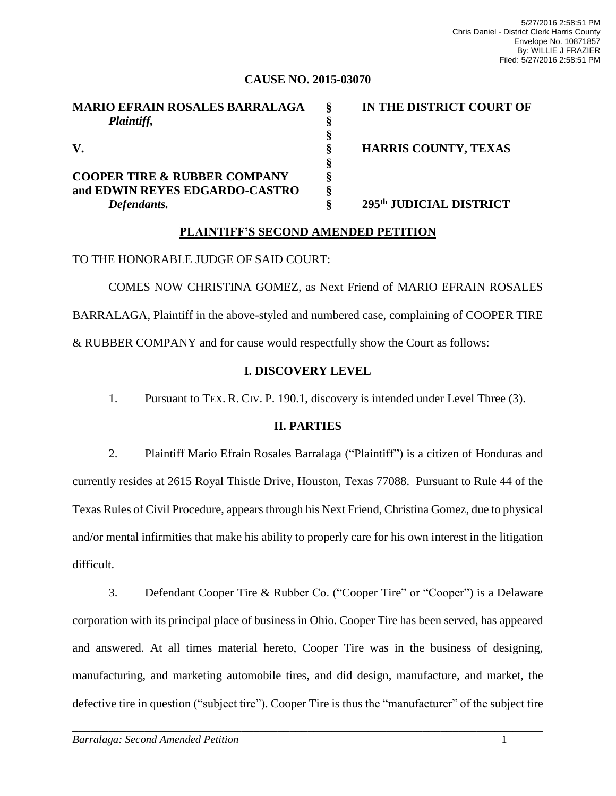## **CAUSE NO. 2015-03070**

| <b>MARIO EFRAIN ROSALES BARRALAGA</b>   | IN THE DISTRICT COURT OF    |
|-----------------------------------------|-----------------------------|
| Plaintiff,                              |                             |
|                                         |                             |
| V.                                      | <b>HARRIS COUNTY, TEXAS</b> |
|                                         |                             |
| <b>COOPER TIRE &amp; RUBBER COMPANY</b> |                             |
| and EDWIN REYES EDGARDO-CASTRO          |                             |
| Defendants.                             | 295th JUDICIAL DISTRICT     |

## **PLAINTIFF'S SECOND AMENDED PETITION**

TO THE HONORABLE JUDGE OF SAID COURT:

COMES NOW CHRISTINA GOMEZ, as Next Friend of MARIO EFRAIN ROSALES BARRALAGA, Plaintiff in the above-styled and numbered case, complaining of COOPER TIRE & RUBBER COMPANY and for cause would respectfully show the Court as follows:

# **I. DISCOVERY LEVEL**

1. Pursuant to TEX. R. CIV. P. 190.1, discovery is intended under Level Three (3).

## **II. PARTIES**

2. Plaintiff Mario Efrain Rosales Barralaga ("Plaintiff") is a citizen of Honduras and currently resides at 2615 Royal Thistle Drive, Houston, Texas 77088. Pursuant to Rule 44 of the Texas Rules of Civil Procedure, appears through his Next Friend, Christina Gomez, due to physical and/or mental infirmities that make his ability to properly care for his own interest in the litigation difficult.

3. Defendant Cooper Tire & Rubber Co. ("Cooper Tire" or "Cooper") is a Delaware corporation with its principal place of business in Ohio. Cooper Tire has been served, has appeared and answered. At all times material hereto, Cooper Tire was in the business of designing, manufacturing, and marketing automobile tires, and did design, manufacture, and market, the defective tire in question ("subject tire"). Cooper Tire is thus the "manufacturer" of the subject tire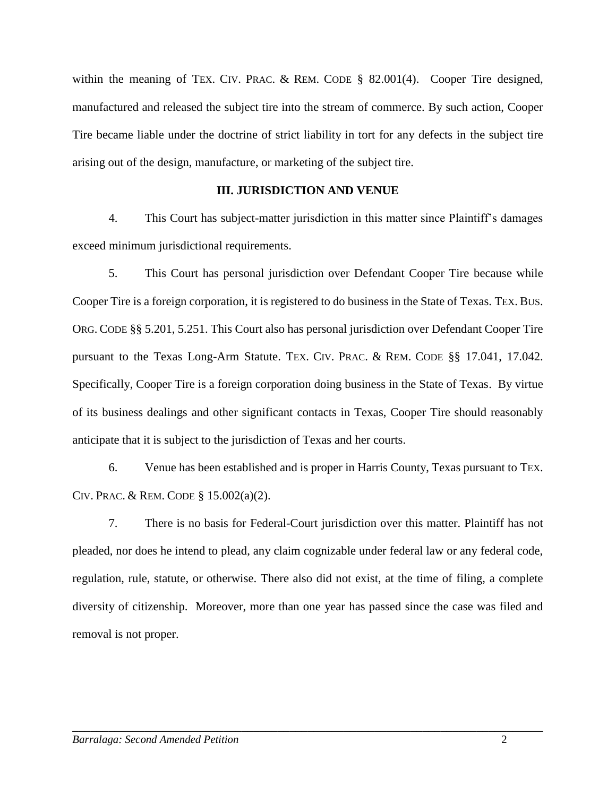within the meaning of TEX. CIV. PRAC. & REM. CODE [§ 82.001\(4\).](https://a.next.westlaw.com/Link/Document/FullText?findType=L&pubNum=1000170&cite=TXCPS82.001&originatingDoc=I95dd001f5a4811e2a531ef6793d44951&refType=SP&originationContext=document&transitionType=DocumentItem&contextData=(sc.Search)#co_pp_0bd500007a412) Cooper Tire designed, manufactured and released the subject tire into the stream of commerce. By such action, Cooper Tire became liable under the doctrine of strict liability in tort for any defects in the subject tire arising out of the design, manufacture, or marketing of the subject tire.

## **III. JURISDICTION AND VENUE**

4. This Court has subject-matter jurisdiction in this matter since Plaintiff's damages exceed minimum jurisdictional requirements.

5. This Court has personal jurisdiction over Defendant Cooper Tire because while Cooper Tire is a foreign corporation, it is registered to do business in the State of Texas. TEX. BUS. ORG. CODE §§ 5.201, 5.251. This Court also has personal jurisdiction over Defendant Cooper Tire pursuant to the Texas Long-Arm Statute. TEX. CIV. PRAC. & REM. CODE §§ 17.041, 17.042. Specifically, Cooper Tire is a foreign corporation doing business in the State of Texas. By virtue of its business dealings and other significant contacts in Texas, Cooper Tire should reasonably anticipate that it is subject to the jurisdiction of Texas and her courts.

6. Venue has been established and is proper in Harris County, Texas pursuant to TEX. CIV. PRAC. & REM. CODE § 15.002(a)(2).

7. There is no basis for Federal-Court jurisdiction over this matter. Plaintiff has not pleaded, nor does he intend to plead, any claim cognizable under federal law or any federal code, regulation, rule, statute, or otherwise. There also did not exist, at the time of filing, a complete diversity of citizenship. Moreover, more than one year has passed since the case was filed and removal is not proper.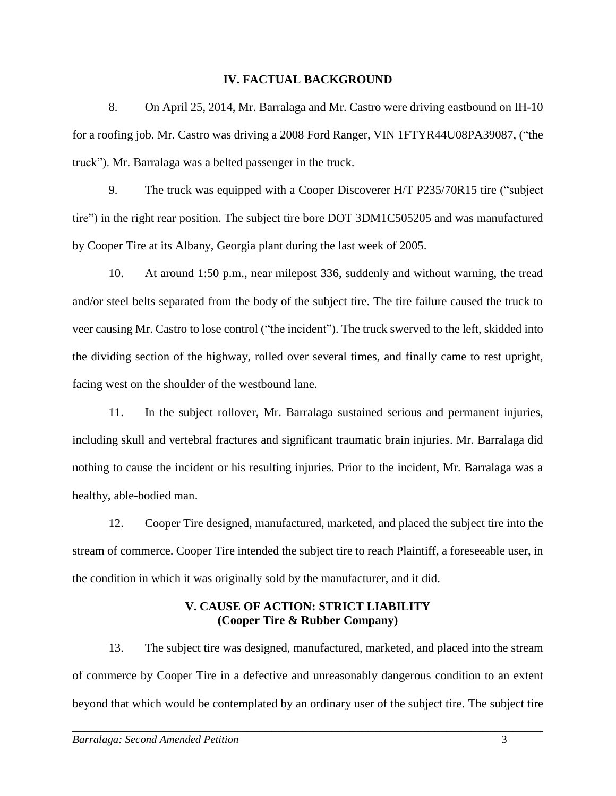#### **IV. FACTUAL BACKGROUND**

8. On April 25, 2014, Mr. Barralaga and Mr. Castro were driving eastbound on IH-10 for a roofing job. Mr. Castro was driving a 2008 Ford Ranger, VIN 1FTYR44U08PA39087, ("the truck"). Mr. Barralaga was a belted passenger in the truck.

9. The truck was equipped with a Cooper Discoverer H/T P235/70R15 tire ("subject tire") in the right rear position. The subject tire bore DOT 3DM1C505205 and was manufactured by Cooper Tire at its Albany, Georgia plant during the last week of 2005.

10. At around 1:50 p.m., near milepost 336, suddenly and without warning, the tread and/or steel belts separated from the body of the subject tire. The tire failure caused the truck to veer causing Mr. Castro to lose control ("the incident"). The truck swerved to the left, skidded into the dividing section of the highway, rolled over several times, and finally came to rest upright, facing west on the shoulder of the westbound lane.

11. In the subject rollover, Mr. Barralaga sustained serious and permanent injuries, including skull and vertebral fractures and significant traumatic brain injuries. Mr. Barralaga did nothing to cause the incident or his resulting injuries. Prior to the incident, Mr. Barralaga was a healthy, able-bodied man.

12. Cooper Tire designed, manufactured, marketed, and placed the subject tire into the stream of commerce. Cooper Tire intended the subject tire to reach Plaintiff, a foreseeable user, in the condition in which it was originally sold by the manufacturer, and it did.

# **V. CAUSE OF ACTION: STRICT LIABILITY (Cooper Tire & Rubber Company)**

13. The subject tire was designed, manufactured, marketed, and placed into the stream of commerce by Cooper Tire in a defective and unreasonably dangerous condition to an extent beyond that which would be contemplated by an ordinary user of the subject tire. The subject tire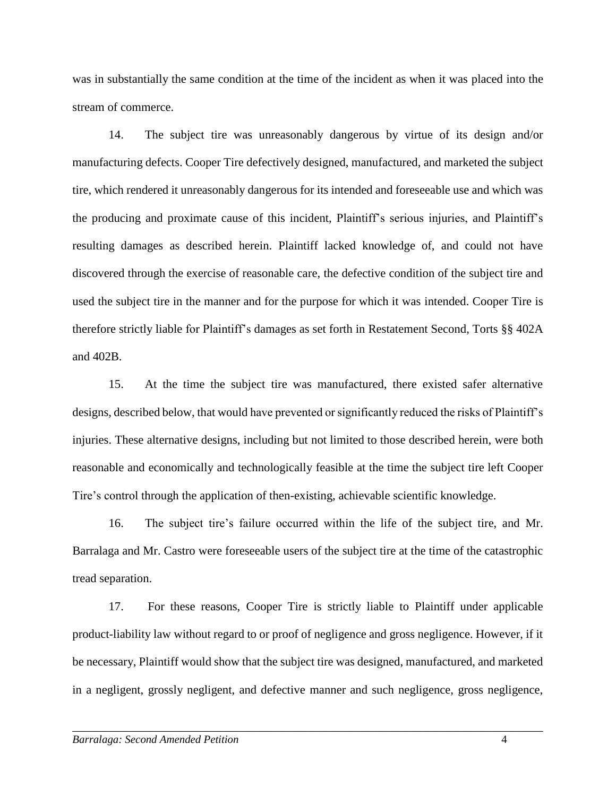was in substantially the same condition at the time of the incident as when it was placed into the stream of commerce.

14. The subject tire was unreasonably dangerous by virtue of its design and/or manufacturing defects. Cooper Tire defectively designed, manufactured, and marketed the subject tire, which rendered it unreasonably dangerous for its intended and foreseeable use and which was the producing and proximate cause of this incident, Plaintiff's serious injuries, and Plaintiff's resulting damages as described herein. Plaintiff lacked knowledge of, and could not have discovered through the exercise of reasonable care, the defective condition of the subject tire and used the subject tire in the manner and for the purpose for which it was intended. Cooper Tire is therefore strictly liable for Plaintiff's damages as set forth in Restatement Second, Torts §§ 402A and 402B.

15. At the time the subject tire was manufactured, there existed safer alternative designs, described below, that would have prevented or significantly reduced the risks of Plaintiff's injuries. These alternative designs, including but not limited to those described herein, were both reasonable and economically and technologically feasible at the time the subject tire left Cooper Tire's control through the application of then-existing, achievable scientific knowledge.

16. The subject tire's failure occurred within the life of the subject tire, and Mr. Barralaga and Mr. Castro were foreseeable users of the subject tire at the time of the catastrophic tread separation.

17. For these reasons, Cooper Tire is strictly liable to Plaintiff under applicable product-liability law without regard to or proof of negligence and gross negligence. However, if it be necessary, Plaintiff would show that the subject tire was designed, manufactured, and marketed in a negligent, grossly negligent, and defective manner and such negligence, gross negligence,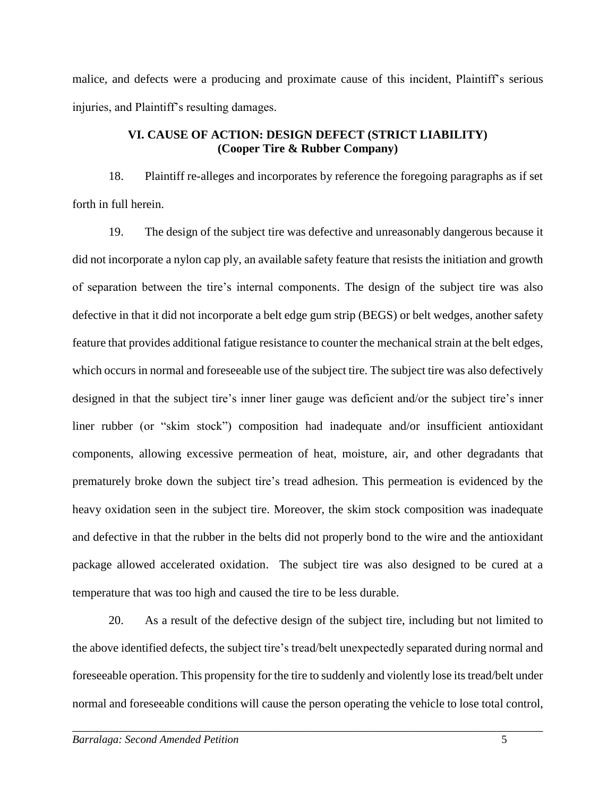malice, and defects were a producing and proximate cause of this incident, Plaintiff's serious injuries, and Plaintiff's resulting damages.

# **VI. CAUSE OF ACTION: DESIGN DEFECT (STRICT LIABILITY) (Cooper Tire & Rubber Company)**

18. Plaintiff re-alleges and incorporates by reference the foregoing paragraphs as if set forth in full herein.

19. The design of the subject tire was defective and unreasonably dangerous because it did not incorporate a nylon cap ply, an available safety feature that resists the initiation and growth of separation between the tire's internal components. The design of the subject tire was also defective in that it did not incorporate a belt edge gum strip (BEGS) or belt wedges, another safety feature that provides additional fatigue resistance to counter the mechanical strain at the belt edges, which occurs in normal and foreseeable use of the subject tire. The subject tire was also defectively designed in that the subject tire's inner liner gauge was deficient and/or the subject tire's inner liner rubber (or "skim stock") composition had inadequate and/or insufficient antioxidant components, allowing excessive permeation of heat, moisture, air, and other degradants that prematurely broke down the subject tire's tread adhesion. This permeation is evidenced by the heavy oxidation seen in the subject tire. Moreover, the skim stock composition was inadequate and defective in that the rubber in the belts did not properly bond to the wire and the antioxidant package allowed accelerated oxidation. The subject tire was also designed to be cured at a temperature that was too high and caused the tire to be less durable.

20. As a result of the defective design of the subject tire, including but not limited to the above identified defects, the subject tire's tread/belt unexpectedly separated during normal and foreseeable operation. This propensity for the tire to suddenly and violently lose itstread/belt under normal and foreseeable conditions will cause the person operating the vehicle to lose total control,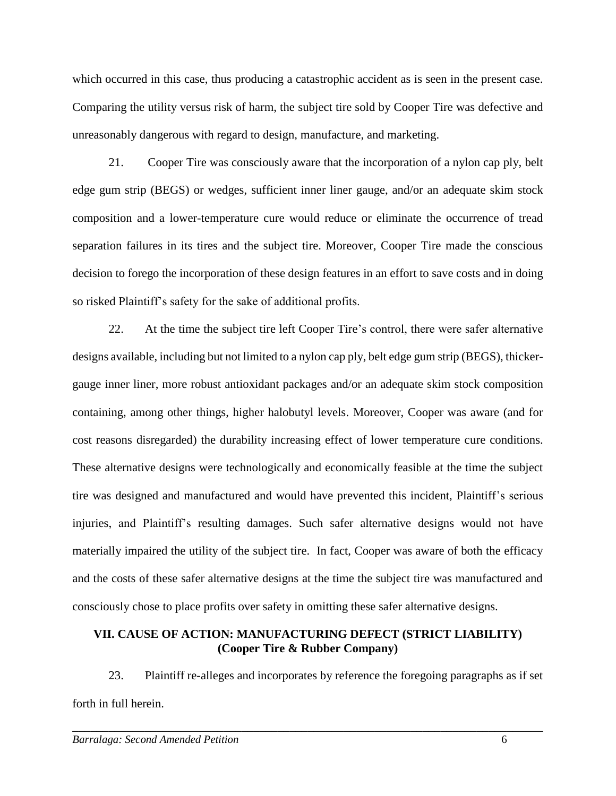which occurred in this case, thus producing a catastrophic accident as is seen in the present case. Comparing the utility versus risk of harm, the subject tire sold by Cooper Tire was defective and unreasonably dangerous with regard to design, manufacture, and marketing.

21. Cooper Tire was consciously aware that the incorporation of a nylon cap ply, belt edge gum strip (BEGS) or wedges, sufficient inner liner gauge, and/or an adequate skim stock composition and a lower-temperature cure would reduce or eliminate the occurrence of tread separation failures in its tires and the subject tire. Moreover, Cooper Tire made the conscious decision to forego the incorporation of these design features in an effort to save costs and in doing so risked Plaintiff's safety for the sake of additional profits.

22. At the time the subject tire left Cooper Tire's control, there were safer alternative designs available, including but not limited to a nylon cap ply, belt edge gum strip (BEGS), thickergauge inner liner, more robust antioxidant packages and/or an adequate skim stock composition containing, among other things, higher halobutyl levels. Moreover, Cooper was aware (and for cost reasons disregarded) the durability increasing effect of lower temperature cure conditions. These alternative designs were technologically and economically feasible at the time the subject tire was designed and manufactured and would have prevented this incident, Plaintiff's serious injuries, and Plaintiff's resulting damages. Such safer alternative designs would not have materially impaired the utility of the subject tire. In fact, Cooper was aware of both the efficacy and the costs of these safer alternative designs at the time the subject tire was manufactured and consciously chose to place profits over safety in omitting these safer alternative designs.

## **VII. CAUSE OF ACTION: MANUFACTURING DEFECT (STRICT LIABILITY) (Cooper Tire & Rubber Company)**

23. Plaintiff re-alleges and incorporates by reference the foregoing paragraphs as if set forth in full herein.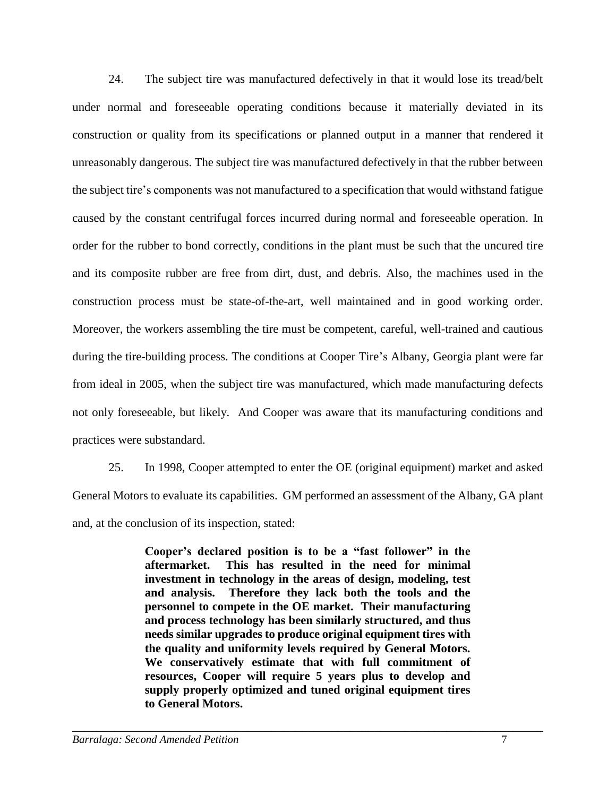24. The subject tire was manufactured defectively in that it would lose its tread/belt under normal and foreseeable operating conditions because it materially deviated in its construction or quality from its specifications or planned output in a manner that rendered it unreasonably dangerous. The subject tire was manufactured defectively in that the rubber between the subject tire's components was not manufactured to a specification that would withstand fatigue caused by the constant centrifugal forces incurred during normal and foreseeable operation. In order for the rubber to bond correctly, conditions in the plant must be such that the uncured tire and its composite rubber are free from dirt, dust, and debris. Also, the machines used in the construction process must be state-of-the-art, well maintained and in good working order. Moreover, the workers assembling the tire must be competent, careful, well-trained and cautious during the tire-building process. The conditions at Cooper Tire's Albany, Georgia plant were far from ideal in 2005, when the subject tire was manufactured, which made manufacturing defects not only foreseeable, but likely. And Cooper was aware that its manufacturing conditions and practices were substandard.

25. In 1998, Cooper attempted to enter the OE (original equipment) market and asked General Motors to evaluate its capabilities. GM performed an assessment of the Albany, GA plant and, at the conclusion of its inspection, stated:

> **Cooper's declared position is to be a "fast follower" in the aftermarket. This has resulted in the need for minimal investment in technology in the areas of design, modeling, test and analysis. Therefore they lack both the tools and the personnel to compete in the OE market. Their manufacturing and process technology has been similarly structured, and thus needs similar upgrades to produce original equipment tires with the quality and uniformity levels required by General Motors. We conservatively estimate that with full commitment of resources, Cooper will require 5 years plus to develop and supply properly optimized and tuned original equipment tires to General Motors.**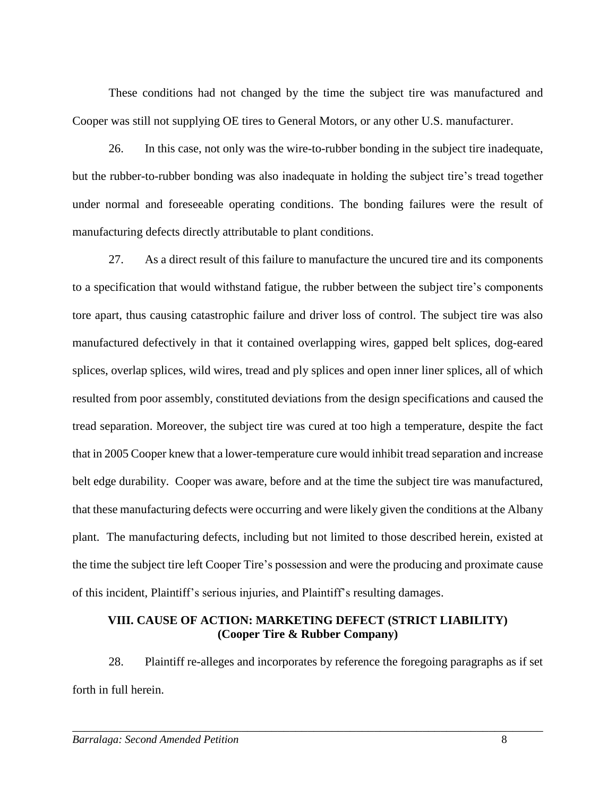These conditions had not changed by the time the subject tire was manufactured and Cooper was still not supplying OE tires to General Motors, or any other U.S. manufacturer.

26. In this case, not only was the wire-to-rubber bonding in the subject tire inadequate, but the rubber-to-rubber bonding was also inadequate in holding the subject tire's tread together under normal and foreseeable operating conditions. The bonding failures were the result of manufacturing defects directly attributable to plant conditions.

27. As a direct result of this failure to manufacture the uncured tire and its components to a specification that would withstand fatigue, the rubber between the subject tire's components tore apart, thus causing catastrophic failure and driver loss of control. The subject tire was also manufactured defectively in that it contained overlapping wires, gapped belt splices, dog-eared splices, overlap splices, wild wires, tread and ply splices and open inner liner splices, all of which resulted from poor assembly, constituted deviations from the design specifications and caused the tread separation. Moreover, the subject tire was cured at too high a temperature, despite the fact that in 2005 Cooper knew that a lower-temperature cure would inhibit tread separation and increase belt edge durability. Cooper was aware, before and at the time the subject tire was manufactured, that these manufacturing defects were occurring and were likely given the conditions at the Albany plant. The manufacturing defects, including but not limited to those described herein, existed at the time the subject tire left Cooper Tire's possession and were the producing and proximate cause of this incident, Plaintiff's serious injuries, and Plaintiff's resulting damages.

# **VIII. CAUSE OF ACTION: MARKETING DEFECT (STRICT LIABILITY) (Cooper Tire & Rubber Company)**

28. Plaintiff re-alleges and incorporates by reference the foregoing paragraphs as if set forth in full herein.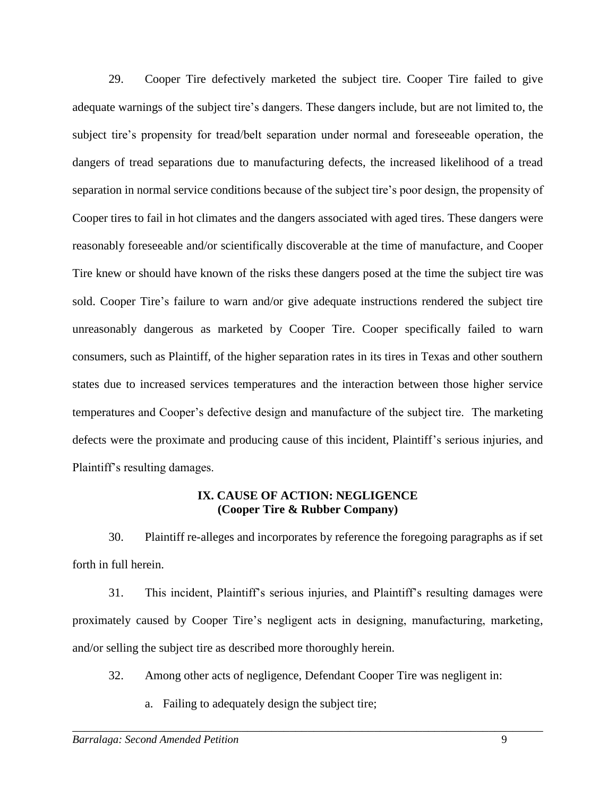29. Cooper Tire defectively marketed the subject tire. Cooper Tire failed to give adequate warnings of the subject tire's dangers. These dangers include, but are not limited to, the subject tire's propensity for tread/belt separation under normal and foreseeable operation, the dangers of tread separations due to manufacturing defects, the increased likelihood of a tread separation in normal service conditions because of the subject tire's poor design, the propensity of Cooper tires to fail in hot climates and the dangers associated with aged tires. These dangers were reasonably foreseeable and/or scientifically discoverable at the time of manufacture, and Cooper Tire knew or should have known of the risks these dangers posed at the time the subject tire was sold. Cooper Tire's failure to warn and/or give adequate instructions rendered the subject tire unreasonably dangerous as marketed by Cooper Tire. Cooper specifically failed to warn consumers, such as Plaintiff, of the higher separation rates in its tires in Texas and other southern states due to increased services temperatures and the interaction between those higher service temperatures and Cooper's defective design and manufacture of the subject tire. The marketing defects were the proximate and producing cause of this incident, Plaintiff's serious injuries, and Plaintiff's resulting damages.

## **IX. CAUSE OF ACTION: NEGLIGENCE (Cooper Tire & Rubber Company)**

30. Plaintiff re-alleges and incorporates by reference the foregoing paragraphs as if set forth in full herein.

31. This incident, Plaintiff's serious injuries, and Plaintiff's resulting damages were proximately caused by Cooper Tire's negligent acts in designing, manufacturing, marketing, and/or selling the subject tire as described more thoroughly herein.

32. Among other acts of negligence, Defendant Cooper Tire was negligent in:

\_\_\_\_\_\_\_\_\_\_\_\_\_\_\_\_\_\_\_\_\_\_\_\_\_\_\_\_\_\_\_\_\_\_\_\_\_\_\_\_\_\_\_\_\_\_\_\_\_\_\_\_\_\_\_\_\_\_\_\_\_\_\_\_\_\_\_\_\_\_\_\_\_\_\_\_\_\_

a. Failing to adequately design the subject tire;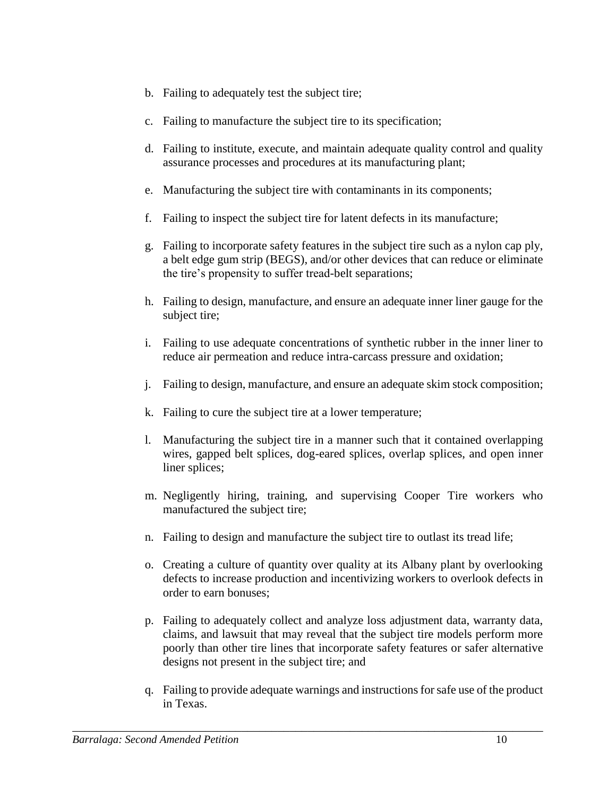- b. Failing to adequately test the subject tire;
- c. Failing to manufacture the subject tire to its specification;
- d. Failing to institute, execute, and maintain adequate quality control and quality assurance processes and procedures at its manufacturing plant;
- e. Manufacturing the subject tire with contaminants in its components;
- f. Failing to inspect the subject tire for latent defects in its manufacture;
- g. Failing to incorporate safety features in the subject tire such as a nylon cap ply, a belt edge gum strip (BEGS), and/or other devices that can reduce or eliminate the tire's propensity to suffer tread-belt separations;
- h. Failing to design, manufacture, and ensure an adequate inner liner gauge for the subject tire;
- i. Failing to use adequate concentrations of synthetic rubber in the inner liner to reduce air permeation and reduce intra-carcass pressure and oxidation;
- j. Failing to design, manufacture, and ensure an adequate skim stock composition;
- k. Failing to cure the subject tire at a lower temperature;
- l. Manufacturing the subject tire in a manner such that it contained overlapping wires, gapped belt splices, dog-eared splices, overlap splices, and open inner liner splices;
- m. Negligently hiring, training, and supervising Cooper Tire workers who manufactured the subject tire;
- n. Failing to design and manufacture the subject tire to outlast its tread life;
- o. Creating a culture of quantity over quality at its Albany plant by overlooking defects to increase production and incentivizing workers to overlook defects in order to earn bonuses;
- p. Failing to adequately collect and analyze loss adjustment data, warranty data, claims, and lawsuit that may reveal that the subject tire models perform more poorly than other tire lines that incorporate safety features or safer alternative designs not present in the subject tire; and
- q. Failing to provide adequate warnings and instructions for safe use of the product in Texas.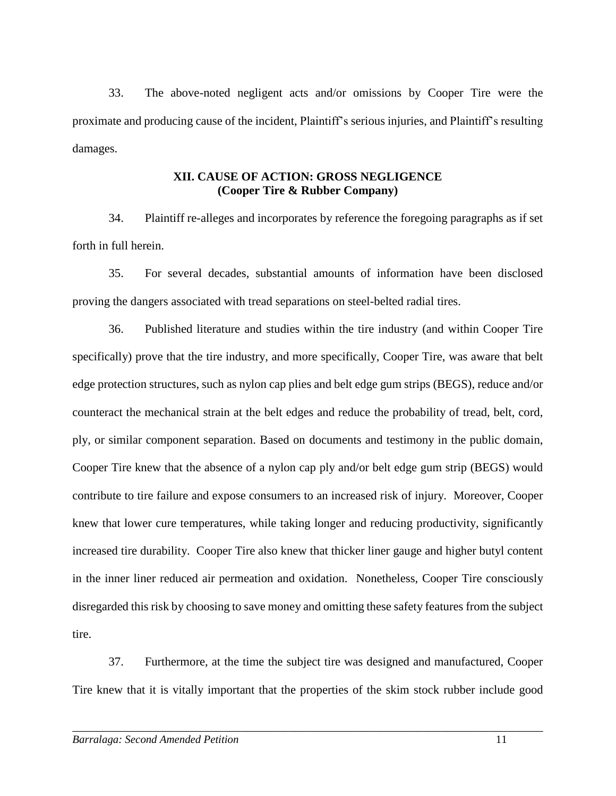33. The above-noted negligent acts and/or omissions by Cooper Tire were the proximate and producing cause of the incident, Plaintiff's serious injuries, and Plaintiff's resulting damages.

# **XII. CAUSE OF ACTION: GROSS NEGLIGENCE (Cooper Tire & Rubber Company)**

34. Plaintiff re-alleges and incorporates by reference the foregoing paragraphs as if set forth in full herein.

35. For several decades, substantial amounts of information have been disclosed proving the dangers associated with tread separations on steel-belted radial tires.

36. Published literature and studies within the tire industry (and within Cooper Tire specifically) prove that the tire industry, and more specifically, Cooper Tire, was aware that belt edge protection structures, such as nylon cap plies and belt edge gum strips (BEGS), reduce and/or counteract the mechanical strain at the belt edges and reduce the probability of tread, belt, cord, ply, or similar component separation. Based on documents and testimony in the public domain, Cooper Tire knew that the absence of a nylon cap ply and/or belt edge gum strip (BEGS) would contribute to tire failure and expose consumers to an increased risk of injury. Moreover, Cooper knew that lower cure temperatures, while taking longer and reducing productivity, significantly increased tire durability. Cooper Tire also knew that thicker liner gauge and higher butyl content in the inner liner reduced air permeation and oxidation. Nonetheless, Cooper Tire consciously disregarded this risk by choosing to save money and omitting these safety features from the subject tire.

37. Furthermore, at the time the subject tire was designed and manufactured, Cooper Tire knew that it is vitally important that the properties of the skim stock rubber include good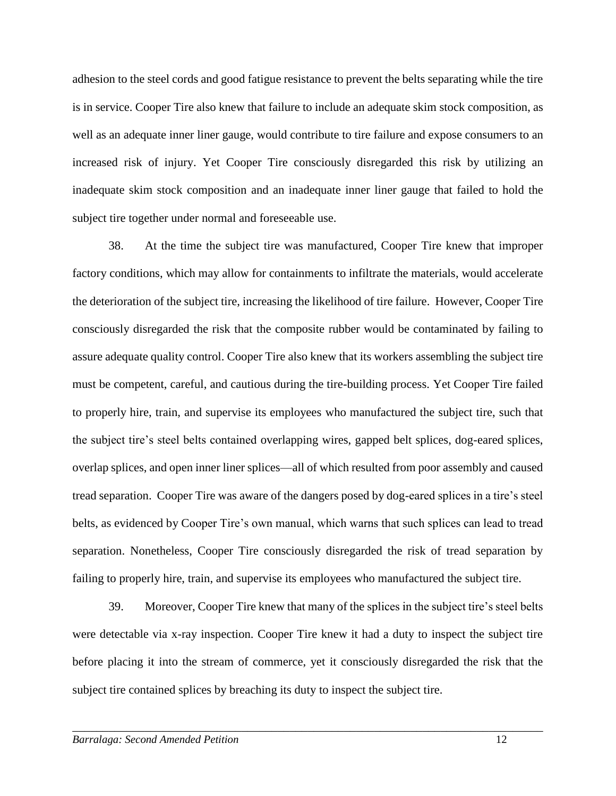adhesion to the steel cords and good fatigue resistance to prevent the belts separating while the tire is in service. Cooper Tire also knew that failure to include an adequate skim stock composition, as well as an adequate inner liner gauge, would contribute to tire failure and expose consumers to an increased risk of injury. Yet Cooper Tire consciously disregarded this risk by utilizing an inadequate skim stock composition and an inadequate inner liner gauge that failed to hold the subject tire together under normal and foreseeable use.

38. At the time the subject tire was manufactured, Cooper Tire knew that improper factory conditions, which may allow for containments to infiltrate the materials, would accelerate the deterioration of the subject tire, increasing the likelihood of tire failure. However, Cooper Tire consciously disregarded the risk that the composite rubber would be contaminated by failing to assure adequate quality control. Cooper Tire also knew that its workers assembling the subject tire must be competent, careful, and cautious during the tire-building process. Yet Cooper Tire failed to properly hire, train, and supervise its employees who manufactured the subject tire, such that the subject tire's steel belts contained overlapping wires, gapped belt splices, dog-eared splices, overlap splices, and open inner liner splices—all of which resulted from poor assembly and caused tread separation. Cooper Tire was aware of the dangers posed by dog-eared splices in a tire's steel belts, as evidenced by Cooper Tire's own manual, which warns that such splices can lead to tread separation. Nonetheless, Cooper Tire consciously disregarded the risk of tread separation by failing to properly hire, train, and supervise its employees who manufactured the subject tire.

39. Moreover, Cooper Tire knew that many of the splices in the subject tire's steel belts were detectable via x-ray inspection. Cooper Tire knew it had a duty to inspect the subject tire before placing it into the stream of commerce, yet it consciously disregarded the risk that the subject tire contained splices by breaching its duty to inspect the subject tire.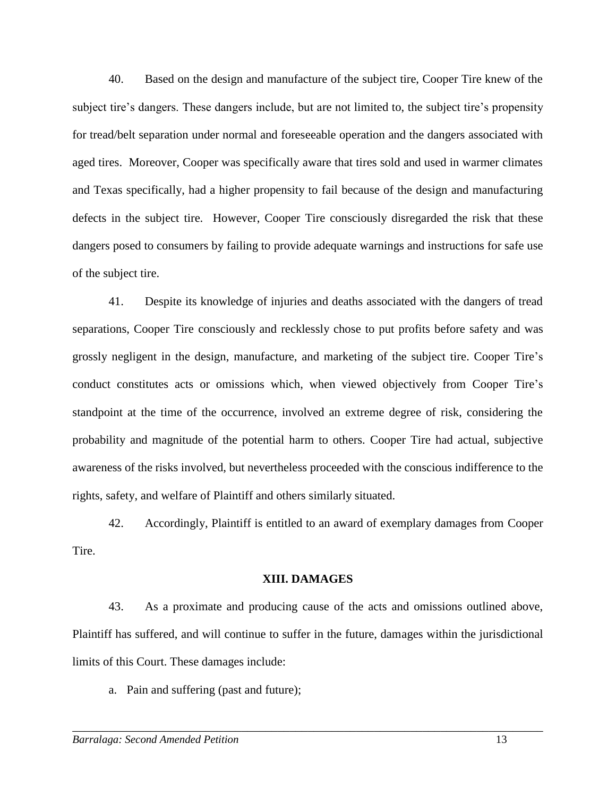40. Based on the design and manufacture of the subject tire, Cooper Tire knew of the subject tire's dangers. These dangers include, but are not limited to, the subject tire's propensity for tread/belt separation under normal and foreseeable operation and the dangers associated with aged tires. Moreover, Cooper was specifically aware that tires sold and used in warmer climates and Texas specifically, had a higher propensity to fail because of the design and manufacturing defects in the subject tire. However, Cooper Tire consciously disregarded the risk that these dangers posed to consumers by failing to provide adequate warnings and instructions for safe use of the subject tire.

41. Despite its knowledge of injuries and deaths associated with the dangers of tread separations, Cooper Tire consciously and recklessly chose to put profits before safety and was grossly negligent in the design, manufacture, and marketing of the subject tire. Cooper Tire's conduct constitutes acts or omissions which, when viewed objectively from Cooper Tire's standpoint at the time of the occurrence, involved an extreme degree of risk, considering the probability and magnitude of the potential harm to others. Cooper Tire had actual, subjective awareness of the risks involved, but nevertheless proceeded with the conscious indifference to the rights, safety, and welfare of Plaintiff and others similarly situated.

42. Accordingly, Plaintiff is entitled to an award of exemplary damages from Cooper Tire.

#### **XIII. DAMAGES**

43. As a proximate and producing cause of the acts and omissions outlined above, Plaintiff has suffered, and will continue to suffer in the future, damages within the jurisdictional limits of this Court. These damages include:

\_\_\_\_\_\_\_\_\_\_\_\_\_\_\_\_\_\_\_\_\_\_\_\_\_\_\_\_\_\_\_\_\_\_\_\_\_\_\_\_\_\_\_\_\_\_\_\_\_\_\_\_\_\_\_\_\_\_\_\_\_\_\_\_\_\_\_\_\_\_\_\_\_\_\_\_\_\_

a. Pain and suffering (past and future);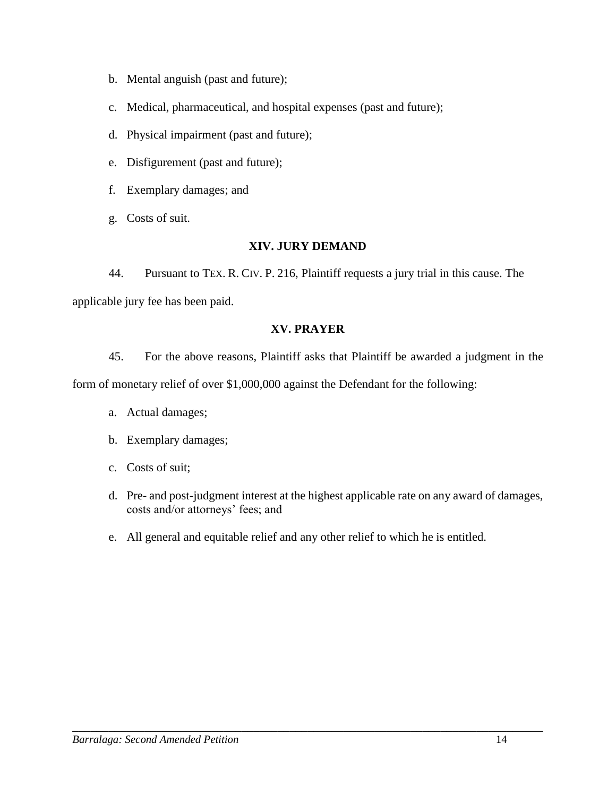- b. Mental anguish (past and future);
- c. Medical, pharmaceutical, and hospital expenses (past and future);
- d. Physical impairment (past and future);
- e. Disfigurement (past and future);
- f. Exemplary damages; and
- g. Costs of suit.

# **XIV. JURY DEMAND**

44. Pursuant to TEX. R. CIV. P. 216, Plaintiff requests a jury trial in this cause. The applicable jury fee has been paid.

# **XV. PRAYER**

45. For the above reasons, Plaintiff asks that Plaintiff be awarded a judgment in the

form of monetary relief of over \$1,000,000 against the Defendant for the following:

- a. Actual damages;
- b. Exemplary damages;
- c. Costs of suit;
- d. Pre- and post-judgment interest at the highest applicable rate on any award of damages, costs and/or attorneys' fees; and
- e. All general and equitable relief and any other relief to which he is entitled.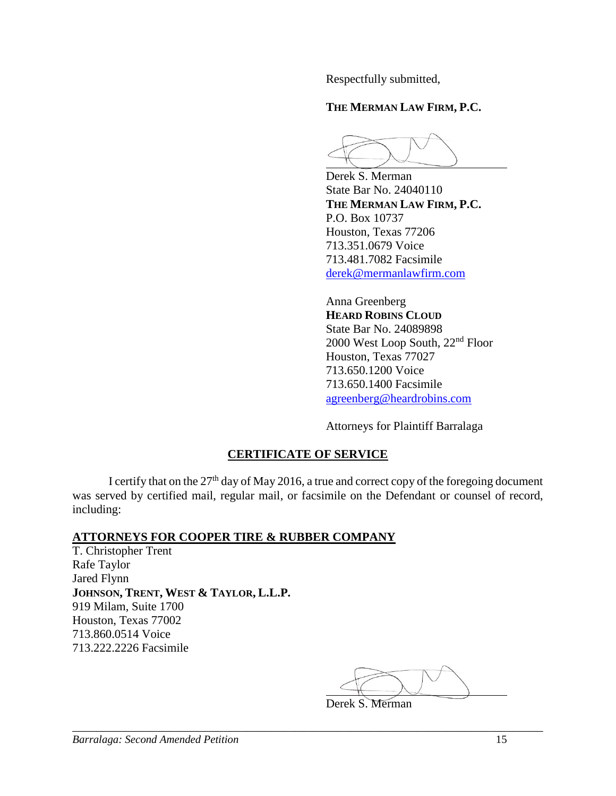Respectfully submitted,

# **THE MERMAN LAW FIRM, P.C.**

Derek S. Merman State Bar No. 24040110 **THE MERMAN LAW FIRM, P.C.** P.O. Box 10737 Houston, Texas 77206 713.351.0679 Voice 713.481.7082 Facsimile [derek@mermanlawfirm.com](mailto:derek@mermanlawfirm.com)

Anna Greenberg **HEARD ROBINS CLOUD** State Bar No. 24089898 2000 West Loop South, 22nd Floor Houston, Texas 77027 713.650.1200 Voice 713.650.1400 Facsimile [agreenberg@heardrobins.com](mailto:agreenberg@heardrobins.com)

Attorneys for Plaintiff Barralaga

# **CERTIFICATE OF SERVICE**

I certify that on the  $27<sup>th</sup>$  day of May 2016, a true and correct copy of the foregoing document was served by certified mail, regular mail, or facsimile on the Defendant or counsel of record, including:

# **ATTORNEYS FOR COOPER TIRE & RUBBER COMPANY**

T. Christopher Trent Rafe Taylor Jared Flynn **JOHNSON, TRENT, WEST & TAYLOR, L.L.P.** 919 Milam, Suite 1700 Houston, Texas 77002 713.860.0514 Voice 713.222.2226 Facsimile

Derek S. Merman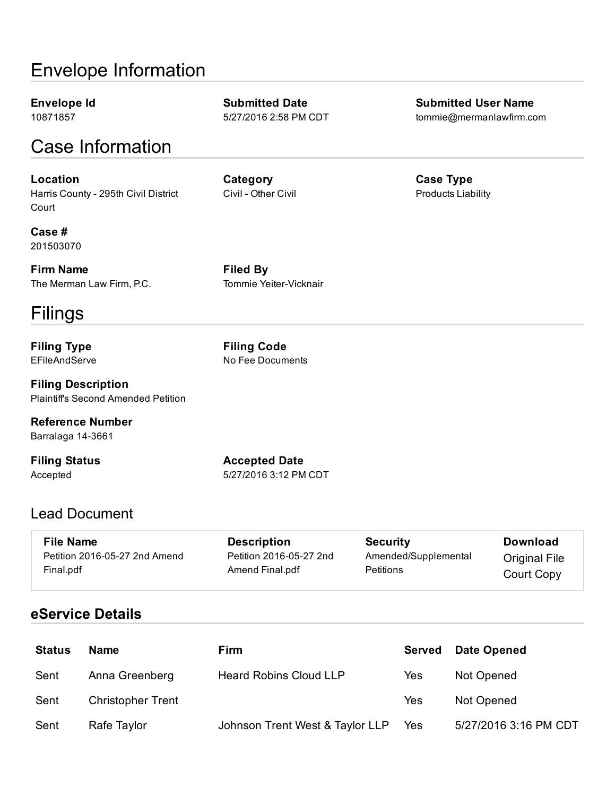# Envelope Information

Envelope Id 10871857

Case Information

Location Harris County - 295th Civil District **Court** 

**Category** Civil - Other Civil

Submitted Date 5/27/2016 2:58 PM CDT

Case # 201503070

Firm Name The Merman Law Firm, P.C. Filed By Tommie Yeiter-Vicknair

# Filings

Filing Type EFileAndServe

Filing Description Plaintiff's Second Amended Petition

Reference Number Barralaga 14-3661

Filing Status Accepted

Accepted Date 5/27/2016 3:12 PM CDT

# Lead Document

| <b>File Name</b>              | <b>Description</b>      | <b>Security</b>      | Download             |
|-------------------------------|-------------------------|----------------------|----------------------|
| Petition 2016-05-27 2nd Amend | Petition 2016-05-27 2nd | Amended/Supplemental | <b>Original File</b> |
| Final.pdf                     | Amend Final.pdf         | Petitions            | Court Copy           |

# eService Details

| <b>Status</b> | <b>Name</b>              | Firm                            | <b>Served</b> | <b>Date Opened</b>    |
|---------------|--------------------------|---------------------------------|---------------|-----------------------|
| Sent          | Anna Greenberg           | <b>Heard Robins Cloud LLP</b>   | Yes           | Not Opened            |
| Sent          | <b>Christopher Trent</b> |                                 | Yes           | Not Opened            |
| Sent          | Rafe Taylor              | Johnson Trent West & Taylor LLP | Yes           | 5/27/2016 3:16 PM CDT |

Submitted User Name tommie@mermanlawfirm.com

Case Type Products Liability

Filing Code No Fee Documents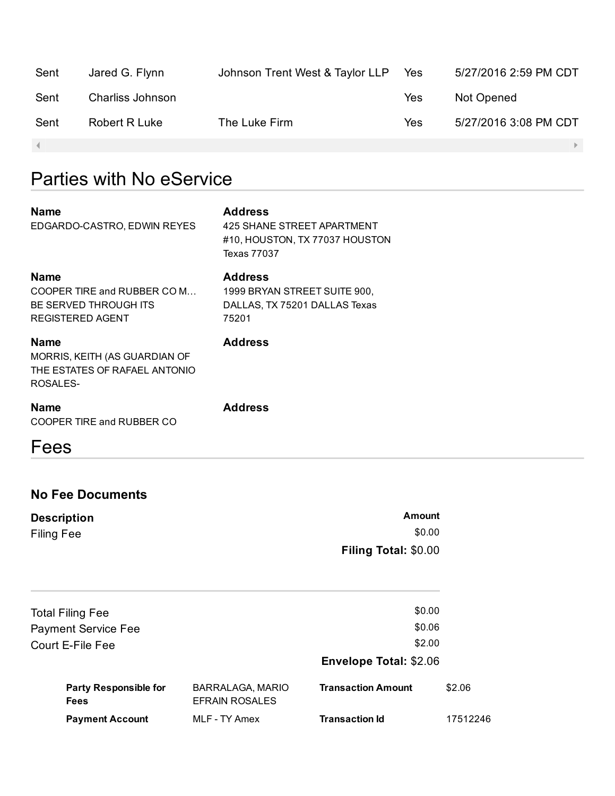| Sent | Jared G. Flynn   | Johnson Trent West & Taylor LLP | Yes | 5/27/2016 2:59 PM CDT |
|------|------------------|---------------------------------|-----|-----------------------|
| Sent | Charliss Johnson |                                 | Yes | Not Opened            |
| Sent | Robert R Luke    | The Luke Firm                   | Yes | 5/27/2016 3:08 PM CDT |
|      |                  |                                 |     |                       |

1999 BRYAN STREET SUITE 900, DALLAS, TX 75201 DALLAS Texas

# Parties with No eService

#### **Nan**

| <b>Name</b>                 | <b>Address</b>                 |
|-----------------------------|--------------------------------|
| EDGARDO-CASTRO, EDWIN REYES | 425 SHANE STREET APARTMENT     |
|                             | #10. HOUSTON. TX 77037 HOUSTON |
|                             | Texas 77037                    |
|                             |                                |

#### Name

COOPER TIRE and RUBBER CO M… BE SERVED THROUGH ITS REGISTERED AGENT

Address

75201

Address

Name MORRIS, KEITH (AS GUARDIAN OF THE ESTATES OF RAFAEL ANTONIO ROSALES-

## Name COOPER TIRE and RUBBER CO

# Address

# Fees

# No Fee Documents

| <b>Description</b> | Amount               |
|--------------------|----------------------|
| <b>Filing Fee</b>  | \$0.00               |
|                    | Filing Total: \$0.00 |

| <b>Payment Account</b>                      | MLF - TY Amex                                    | <b>Transaction Id</b>         | 17512246 |
|---------------------------------------------|--------------------------------------------------|-------------------------------|----------|
| <b>Party Responsible for</b><br><b>Fees</b> | <b>BARRALAGA, MARIO</b><br><b>EFRAIN ROSALES</b> | <b>Transaction Amount</b>     | \$2.06   |
|                                             |                                                  | <b>Envelope Total: \$2.06</b> |          |
| Court E-File Fee                            |                                                  | \$2.00                        |          |
| <b>Payment Service Fee</b>                  |                                                  | \$0.06                        |          |
| <b>Total Filing Fee</b>                     |                                                  | \$0.00                        |          |
|                                             |                                                  |                               |          |